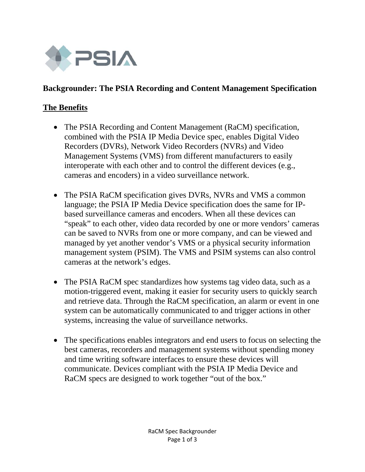

#### **Backgrounder: The PSIA Recording and Content Management Specification**

#### **The Benefits**

- The PSIA Recording and Content Management (RaCM) specification, combined with the PSIA IP Media Device spec, enables Digital Video Recorders (DVRs), Network Video Recorders (NVRs) and Video Management Systems (VMS) from different manufacturers to easily interoperate with each other and to control the different devices (e.g., cameras and encoders) in a video surveillance network.
- The PSIA RaCM specification gives DVRs, NVRs and VMS a common language; the PSIA IP Media Device specification does the same for IPbased surveillance cameras and encoders. When all these devices can "speak" to each other, video data recorded by one or more vendors' cameras can be saved to NVRs from one or more company, and can be viewed and managed by yet another vendor's VMS or a physical security information management system (PSIM). The VMS and PSIM systems can also control cameras at the network's edges.
- The PSIA RaCM spec standardizes how systems tag video data, such as a motion-triggered event, making it easier for security users to quickly search and retrieve data. Through the RaCM specification, an alarm or event in one system can be automatically communicated to and trigger actions in other systems, increasing the value of surveillance networks.
- The specifications enables integrators and end users to focus on selecting the best cameras, recorders and management systems without spending money and time writing software interfaces to ensure these devices will communicate. Devices compliant with the PSIA IP Media Device and RaCM specs are designed to work together "out of the box."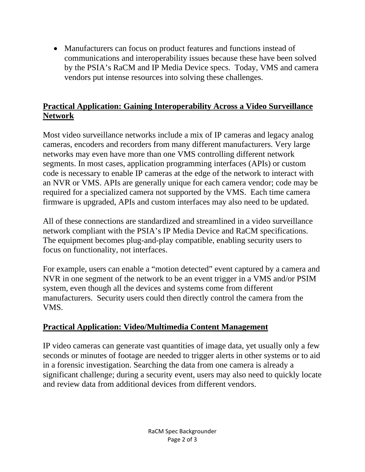• Manufacturers can focus on product features and functions instead of communications and interoperability issues because these have been solved by the PSIA's RaCM and IP Media Device specs. Today, VMS and camera vendors put intense resources into solving these challenges.

## **Practical Application: Gaining Interoperability Across a Video Surveillance Network**

Most video surveillance networks include a mix of IP cameras and legacy analog cameras, encoders and recorders from many different manufacturers. Very large networks may even have more than one VMS controlling different network segments. In most cases, application programming interfaces (APIs) or custom code is necessary to enable IP cameras at the edge of the network to interact with an NVR or VMS. APIs are generally unique for each camera vendor; code may be required for a specialized camera not supported by the VMS. Each time camera firmware is upgraded, APIs and custom interfaces may also need to be updated.

All of these connections are standardized and streamlined in a video surveillance network compliant with the PSIA's IP Media Device and RaCM specifications. The equipment becomes plug-and-play compatible, enabling security users to focus on functionality, not interfaces.

For example, users can enable a "motion detected" event captured by a camera and NVR in one segment of the network to be an event trigger in a VMS and/or PSIM system, even though all the devices and systems come from different manufacturers. Security users could then directly control the camera from the VMS.

# **Practical Application: Video/Multimedia Content Management**

IP video cameras can generate vast quantities of image data, yet usually only a few seconds or minutes of footage are needed to trigger alerts in other systems or to aid in a forensic investigation. Searching the data from one camera is already a significant challenge; during a security event, users may also need to quickly locate and review data from additional devices from different vendors.